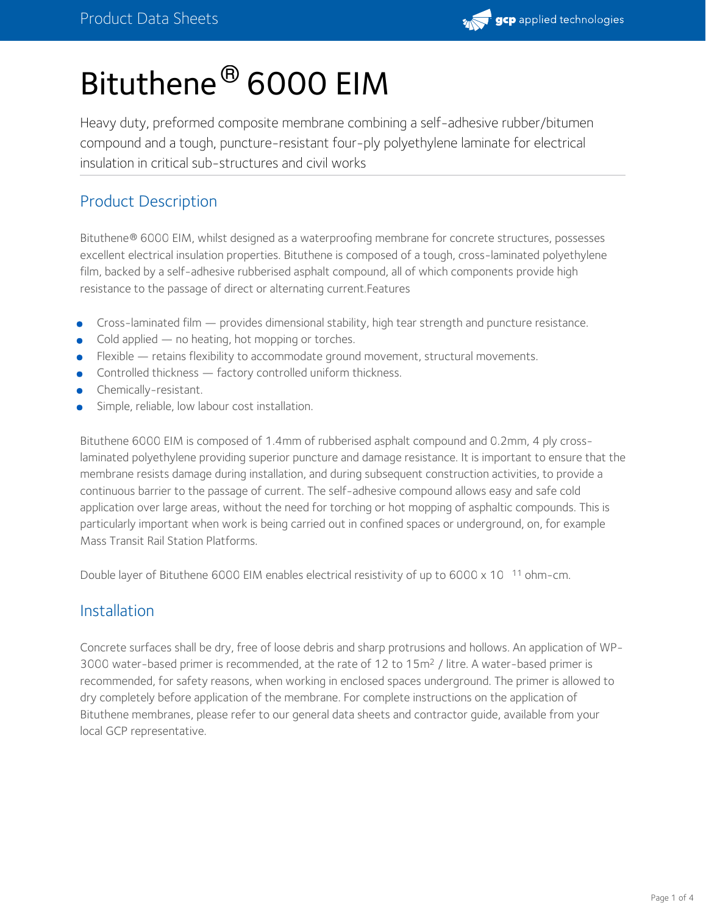

# Bituthene® 6000 EIM

Heavy duty, preformed composite membrane combining a self-adhesive rubber/bitumen compound and a tough, puncture-resistant four-ply polyethylene laminate for electrical insulation in critical sub-structures and civil works

# Product Description

Bituthene® 6000 EIM, whilst designed as a waterproofing membrane for concrete structures, possesses excellent electrical insulation properties. Bituthene is composed of a tough, cross-laminated polyethylene film, backed by a self-adhesive rubberised asphalt compound, all of which components provide high resistance to the passage of direct or alternating current.Features

- Cross-laminated film provides dimensional stability, high tear strength and puncture resistance.
- Cold applied no heating, hot mopping or torches.
- Flexible retains flexibility to accommodate ground movement, structural movements.
- Controlled thickness factory controlled uniform thickness.
- Chemically-resistant.
- Simple, reliable, low labour cost installation.

Bituthene 6000 EIM is composed of 1.4mm of rubberised asphalt compound and 0.2mm, 4 ply crosslaminated polyethylene providing superior puncture and damage resistance. It is important to ensure that the membrane resists damage during installation, and during subsequent construction activities, to provide a continuous barrier to the passage of current. The self-adhesive compound allows easy and safe cold application over large areas, without the need for torching or hot mopping of asphaltic compounds. This is particularly important when work is being carried out in confined spaces or underground, on, for example Mass Transit Rail Station Platforms.

Double layer of Bituthene 6000 EIM enables electrical resistivity of up to 6000 x 10  $11$  ohm-cm.

#### Installation

Concrete surfaces shall be dry, free of loose debris and sharp protrusions and hollows. An application of WP-3000 water-based primer is recommended, at the rate of 12 to 15 $m<sup>2</sup>$  / litre. A water-based primer is recommended, for safety reasons, when working in enclosed spaces underground. The primer is allowed to dry completely before application of the membrane. For complete instructions on the application of Bituthene membranes, please refer to our general data sheets and contractor guide, available from your local GCP representative.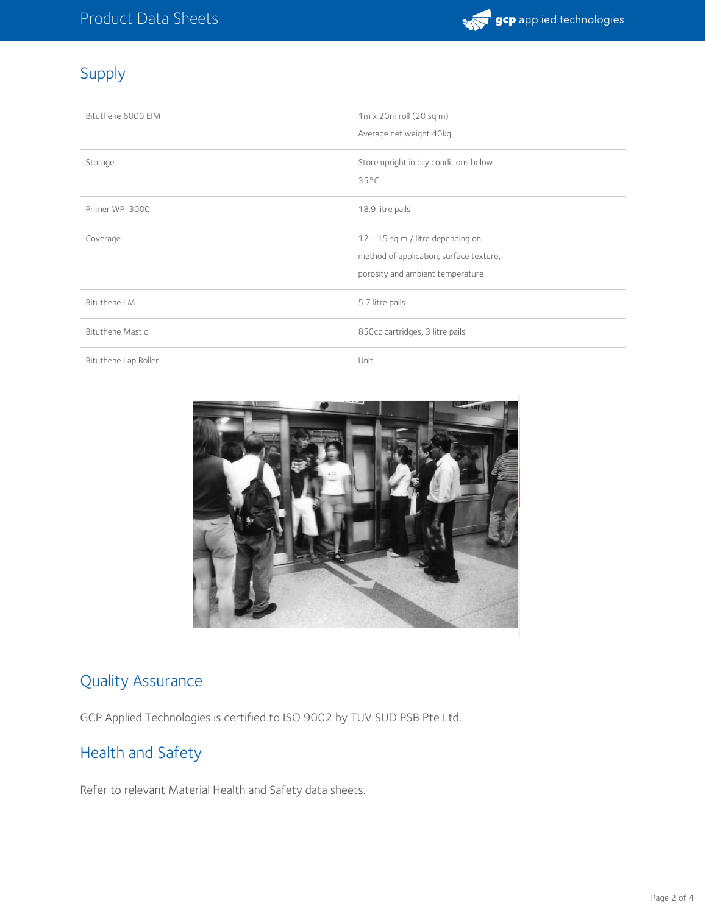

# Supply

| Bituthene 6000 EIM      | $1m \times 20m$ roll (20 sq m)<br>Average net weight 40kg                                                        |  |
|-------------------------|------------------------------------------------------------------------------------------------------------------|--|
| Storage                 | Store upright in dry conditions below<br>$35^{\circ}$ C                                                          |  |
| Primer WP-3000          | 18.9 litre pails                                                                                                 |  |
| Coverage                | 12 - 15 sq m / litre depending on<br>method of application, surface texture,<br>porosity and ambient temperature |  |
| Bituthene LM            | 5.7 litre pails                                                                                                  |  |
| <b>Bituthene Mastic</b> | 850cc cartridges, 3 litre pails                                                                                  |  |
| Bituthene Lap Roller    | Unit                                                                                                             |  |



# Quality Assurance

GCP Applied Technologies is certified to ISO 9002 by TUV SUD PSB Pte Ltd.

# Health and Safety

Refer to relevant Material Health and Safety data sheets.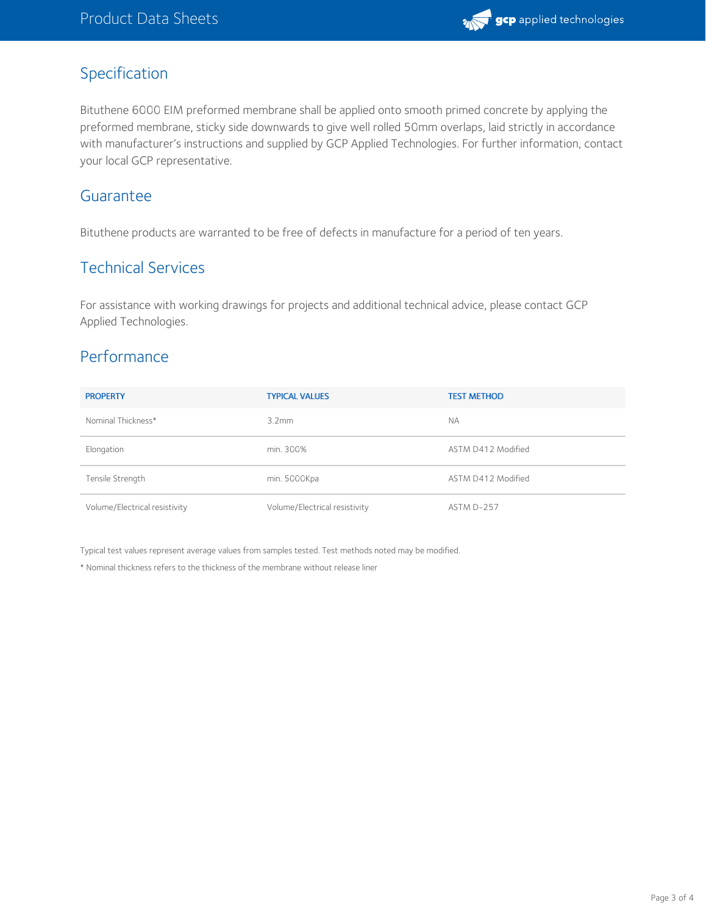

### Specification

Bituthene 6000 EIM preformed membrane shall be applied onto smooth primed concrete by applying the preformed membrane, sticky side downwards to give well rolled 50mm overlaps, laid strictly in accordance with manufacturer's instructions and supplied by GCP Applied Technologies. For further information, contact your local GCP representative.

#### **Guarantee**

Bituthene products are warranted to be free of defects in manufacture for a period of ten years.

#### Technical Services

For assistance with working drawings for projects and additional technical advice, please contact GCP Applied Technologies.

# Performance

| <b>PROPERTY</b>               | <b>TYPICAL VALUES</b>         | <b>TEST METHOD</b> |
|-------------------------------|-------------------------------|--------------------|
| Nominal Thickness*            | 3.2mm                         | <b>NA</b>          |
| Elongation                    | min. 300%                     | ASTM D412 Modified |
| Tensile Strength              | min. 5000Kpa                  | ASTM D412 Modified |
| Volume/Electrical resistivity | Volume/Electrical resistivity | ASTM D-257         |

Typical test values represent average values from samples tested. Test methods noted may be modified.

\* Nominal thickness refers to the thickness of the membrane without release liner